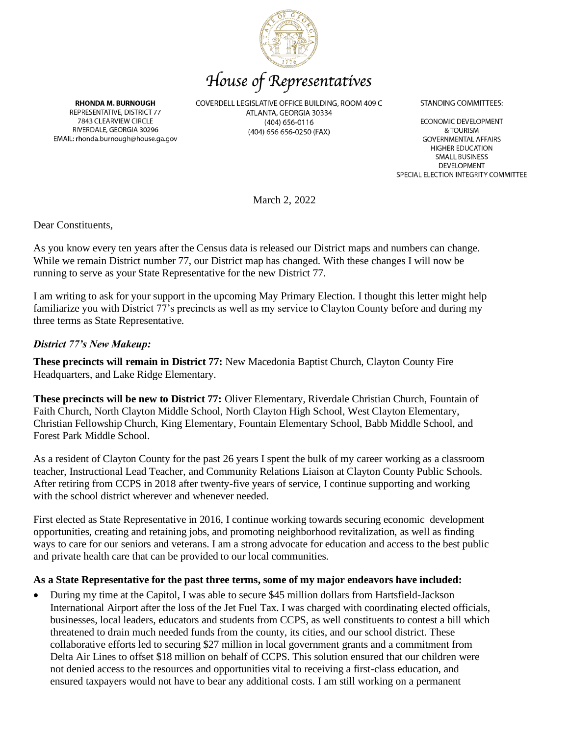

# House of Representatives

**RHONDA M. BURNOUGH** REPRESENTATIVE, DISTRICT 77 7843 CLEARVIEW CIRCLE RIVERDALE, GEORGIA 30296 EMAIL: rhonda.burnough@house.ga.gov COVERDELL LEGISLATIVE OFFICE BUILDING, ROOM 409 C ATLANTA, GEORGIA 30334  $(404)$  656-0116 (404) 656 656-0250 (FAX)

**STANDING COMMITTEES:** 

**ECONOMIC DEVELOPMENT** & TOURISM **GOVERNMENTAL AFFAIRS HIGHER EDUCATION SMALL BUSINESS** DEVELOPMENT SPECIAL ELECTION INTEGRITY COMMITTEE

March 2, 2022

Dear Constituents,

As you know every ten years after the Census data is released our District maps and numbers can change. While we remain District number 77, our District map has changed. With these changes I will now be running to serve as your State Representative for the new District 77.

I am writing to ask for your support in the upcoming May Primary Election. I thought this letter might help familiarize you with District 77's precincts as well as my service to Clayton County before and during my three terms as State Representative.

#### *District 77's New Makeup:*

**These precincts will remain in District 77:** New Macedonia Baptist Church, Clayton County Fire Headquarters, and Lake Ridge Elementary.

**These precincts will be new to District 77:** Oliver Elementary, Riverdale Christian Church, Fountain of Faith Church, North Clayton Middle School, North Clayton High School, West Clayton Elementary, Christian Fellowship Church, King Elementary, Fountain Elementary School, Babb Middle School, and Forest Park Middle School.

As a resident of Clayton County for the past 26 years I spent the bulk of my career working as a classroom teacher, Instructional Lead Teacher, and Community Relations Liaison at Clayton County Public Schools. After retiring from CCPS in 2018 after twenty-five years of service, I continue supporting and working with the school district wherever and whenever needed.

First elected as State Representative in 2016, I continue working towards securing economic development opportunities, creating and retaining jobs, and promoting neighborhood revitalization, as well as finding ways to care for our seniors and veterans. I am a strong advocate for education and access to the best public and private health care that can be provided to our local communities.

#### **As a State Representative for the past three terms, some of my major endeavors have included:**

• During my time at the Capitol, I was able to secure \$45 million dollars from Hartsfield-Jackson International Airport after the loss of the Jet Fuel Tax. I was charged with coordinating elected officials, businesses, local leaders, educators and students from CCPS, as well constituents to contest a bill which threatened to drain much needed funds from the county, its cities, and our school district. These collaborative efforts led to securing \$27 million in local government grants and a commitment from Delta Air Lines to offset \$18 million on behalf of CCPS. This solution ensured that our children were not denied access to the resources and opportunities vital to receiving a first-class education, and ensured taxpayers would not have to bear any additional costs. I am still working on a permanent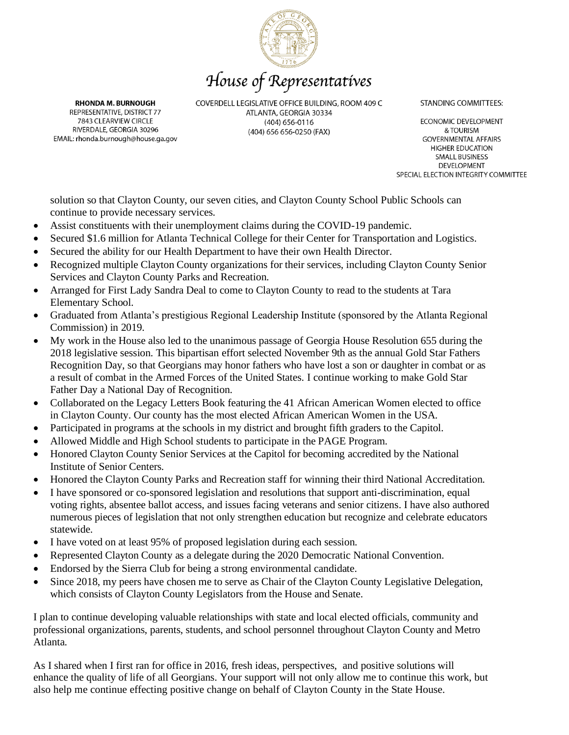

### House of Representatives

**RHONDA M. BURNOUGH** REPRESENTATIVE, DISTRICT 77 7843 CLEARVIEW CIRCLE RIVERDALE, GEORGIA 30296 EMAIL: rhonda.burnough@house.ga.gov COVERDELL LEGISLATIVE OFFICE BUILDING, ROOM 409 C ATLANTA, GEORGIA 30334  $(404)$  656-0116 (404) 656 656-0250 (FAX)

**STANDING COMMITTEES:** 

**ECONOMIC DEVELOPMENT** & TOURISM **GOVERNMENTAL AFFAIRS HIGHER EDUCATION SMALL BUSINESS** DEVELOPMENT SPECIAL ELECTION INTEGRITY COMMITTEE

solution so that Clayton County, our seven cities, and Clayton County School Public Schools can continue to provide necessary services.

- Assist constituents with their unemployment claims during the COVID-19 pandemic.
- Secured \$1.6 million for Atlanta Technical College for their Center for Transportation and Logistics.
- Secured the ability for our Health Department to have their own Health Director.
- Recognized multiple Clayton County organizations for their services, including Clayton County Senior Services and Clayton County Parks and Recreation.
- Arranged for First Lady Sandra Deal to come to Clayton County to read to the students at Tara Elementary School.
- Graduated from Atlanta's prestigious Regional Leadership Institute (sponsored by the Atlanta Regional Commission) in 2019.
- My work in the House also led to the unanimous passage of Georgia House Resolution 655 during the 2018 legislative session. This bipartisan effort selected November 9th as the annual Gold Star Fathers Recognition Day, so that Georgians may honor fathers who have lost a son or daughter in combat or as a result of combat in the Armed Forces of the United States. I continue working to make Gold Star Father Day a National Day of Recognition.
- Collaborated on the Legacy Letters Book featuring the 41 African American Women elected to office in Clayton County. Our county has the most elected African American Women in the USA.
- Participated in programs at the schools in my district and brought fifth graders to the Capitol.
- Allowed Middle and High School students to participate in the PAGE Program.
- Honored Clayton County Senior Services at the Capitol for becoming accredited by the National Institute of Senior Centers.
- Honored the Clayton County Parks and Recreation staff for winning their third National Accreditation.
- I have sponsored or co-sponsored legislation and resolutions that support anti-discrimination, equal voting rights, absentee ballot access, and issues facing veterans and senior citizens. I have also authored numerous pieces of legislation that not only strengthen education but recognize and celebrate educators statewide.
- I have voted on at least 95% of proposed legislation during each session.
- Represented Clayton County as a delegate during the 2020 Democratic National Convention.
- Endorsed by the Sierra Club for being a strong environmental candidate.
- Since 2018, my peers have chosen me to serve as Chair of the Clayton County Legislative Delegation, which consists of Clayton County Legislators from the House and Senate.

I plan to continue developing valuable relationships with state and local elected officials, community and professional organizations, parents, students, and school personnel throughout Clayton County and Metro Atlanta.

As I shared when I first ran for office in 2016, fresh ideas, perspectives, and positive solutions will enhance the quality of life of all Georgians. Your support will not only allow me to continue this work, but also help me continue effecting positive change on behalf of Clayton County in the State House.